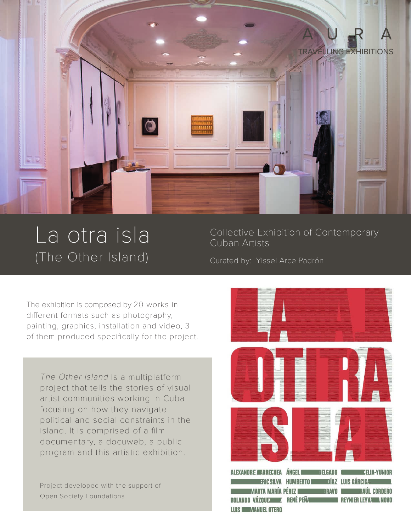

## (The Other Island) Curated by: Yissel Arce Padrón

La otra isla Collective Exhibition of Contemporary Cuban Artists

The exhibition is composed by 20 works in different formats such as photography, painting, graphics, installation and video, 3 of them produced specifically for the project.

The Other Island is a multiplatform project that tells the stories of visual artist communities working in Cuba focusing on how they navigate political and social constraints in the island. It is comprised of a film documentary, a docuweb, a public program and this artistic exhibition.

Project developed with the support of Open Society Foundations

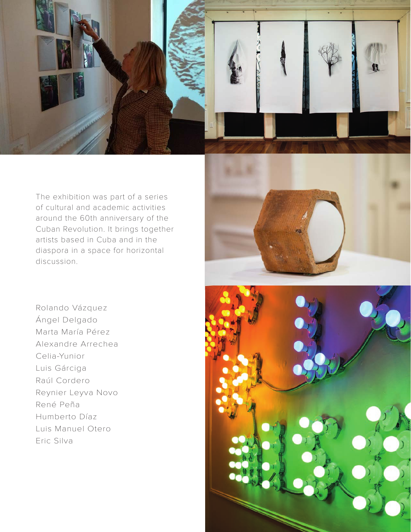

The exhibition was part of a series of cultural and academic activities around the 60th anniversary of the Cuban Revolution. It brings together artists based in Cuba and in the diaspora in a space for horizontal discussion.

Rolando Vázquez Ángel Delgado Marta María Pérez Alexandre Arrechea Celia-Yunior Luis Gárciga Raúl Cordero Reynier Leyva Novo René Peña Humberto Díaz Luis Manuel Otero Eric Silva